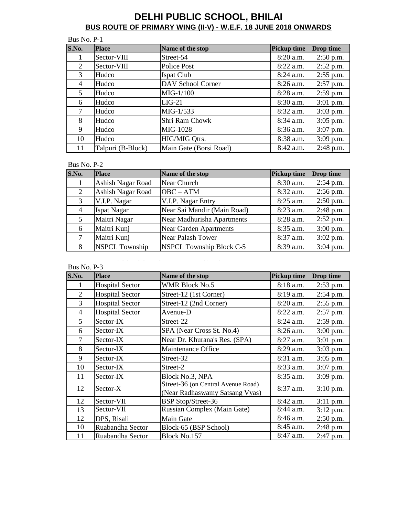| Bus No. P-1    |                   |                        |                    |             |  |
|----------------|-------------------|------------------------|--------------------|-------------|--|
| S.No.          | <b>Place</b>      | Name of the stop       | <b>Pickup time</b> | Drop time   |  |
|                | Sector-VIII       | Street-54              | $8:20$ a.m.        | $2:50$ p.m. |  |
| 2              | Sector-VIII       | Police Post            | $8:22$ a.m.        | $2:52$ p.m. |  |
| 3              | Hudco             | <b>Ispat Club</b>      | $8:24$ a.m.        | $2:55$ p.m. |  |
| $\overline{4}$ | Hudco             | DAV School Corner      | $8:26$ a.m.        | $2:57$ p.m. |  |
| $5^{\circ}$    | Hudco             | $MIG-1/100$            | 8:28 a.m.          | 2:59 p.m.   |  |
| 6              | Hudco             | $LIG-21$               | 8:30 a.m.          | $3:01$ p.m. |  |
| $\tau$         | Hudco             | MIG-1/533              | $8:32$ a.m.        | $3:03$ p.m. |  |
| 8              | Hudco             | Shri Ram Chowk         | $8:34$ a.m.        | $3:05$ p.m. |  |
| 9              | Hudco             | MIG-1028               | $8:36$ a.m.        | $3:07$ p.m. |  |
| 10             | Hudco             | HIG/MIG Qtrs.          | 8:38 a.m.          | $3:09$ p.m. |  |
| 11             | Talpuri (B-Block) | Main Gate (Borsi Road) | 8:42 a.m.          | $2:48$ p.m. |  |

#### Bus No. P-2

| S.No.          | Place                 | Name of the stop                | Pickup time | <b>Drop</b> time |
|----------------|-----------------------|---------------------------------|-------------|------------------|
|                | Ashish Nagar Road     | Near Church                     | 8:30 a.m.   | $2:54$ p.m.      |
| 2              | Ashish Nagar Road     | $OBC - ATM$                     | 8:32 a.m.   | $2:56$ p.m.      |
| 3              | V.I.P. Nagar          | V.I.P. Nagar Entry              | 8:25 a.m.   | $2:50$ p.m.      |
| $\overline{4}$ | <b>Ispat Nagar</b>    | Near Sai Mandir (Main Road)     | 8:23 a.m.   | $2:48$ p.m.      |
| 5              | Maitri Nagar          | Near Madhurisha Apartments      | 8:28 a.m.   | $2:52$ p.m.      |
| 6              | Maitri Kunj           | <b>Near Garden Apartments</b>   | 8:35 a.m.   | $3:00$ p.m.      |
| 7              | Maitri Kunj           | <b>Near Palash Tower</b>        | 8:37 a.m.   | $3:02$ p.m.      |
| 8              | <b>NSPCL Township</b> | <b>NSPCL Township Block C-5</b> | 8:39 a.m.   | $3:04$ p.m.      |

Bus No. P-3

BUS ROUTE OF PRIMARY WING

| S.No. | <b>Place</b>           | Name of the stop                                                     | Pickup time | Drop time   |
|-------|------------------------|----------------------------------------------------------------------|-------------|-------------|
|       | <b>Hospital Sector</b> | <b>WMR Block No.5</b>                                                | 8:18 a.m.   | 2:53 p.m.   |
| 2     | <b>Hospital Sector</b> | Street-12 (1st Corner)                                               | $8:19$ a.m. | 2:54 p.m.   |
| 3     | <b>Hospital Sector</b> | Street-12 (2nd Corner)                                               | 8:20 a.m.   | $2:55$ p.m. |
| 4     | <b>Hospital Sector</b> | Avenue-D                                                             | $8:22$ a.m. | 2:57 p.m.   |
| 5     | Sector-IX              | Street-22                                                            | 8:24 a.m.   | 2:59 p.m.   |
| 6     | Sector-IX              | SPA (Near Cross St. No.4)                                            | $8:26$ a.m. | $3:00$ p.m. |
| 7     | Sector-IX              | Near Dr. Khurana's Res. (SPA)                                        | $8:27$ a.m. | $3:01$ p.m. |
| 8     | Sector-IX              | Maintenance Office                                                   | 8:29 a.m.   | $3:03$ p.m. |
| 9     | Sector-IX              | Street-32                                                            | 8:31 a.m.   | $3:05$ p.m. |
| 10    | Sector-IX              | Street-2                                                             | 8:33 a.m.   | 3:07 p.m.   |
| 11    | Sector-IX              | Block No.3, NPA                                                      | 8:35 a.m.   | $3:09$ p.m. |
| 12    | Sector-X               | Street-36 (on Central Avenue Road)<br>(Near Radhaswamy Satsang Vyas) | $8:37$ a.m. | $3:10$ p.m. |
| 12    | Sector-VII             | <b>BSP Stop/Street-36</b>                                            | 8:42 a.m.   | $3:11$ p.m. |
| 13    | Sector-VII             | Russian Complex (Main Gate)                                          | $8:44$ a.m. | $3:12$ p.m. |
| 12    | DPS, Risali            | Main Gate                                                            | 8:46 a.m.   | 2:50 p.m.   |
| 10    | Ruabandha Sector       | Block-65 (BSP School)                                                | 8:45 a.m.   | 2:48 p.m.   |
| 11    | Ruabandha Sector       | Block No.157                                                         | 8:47 a.m.   | 2:47 p.m.   |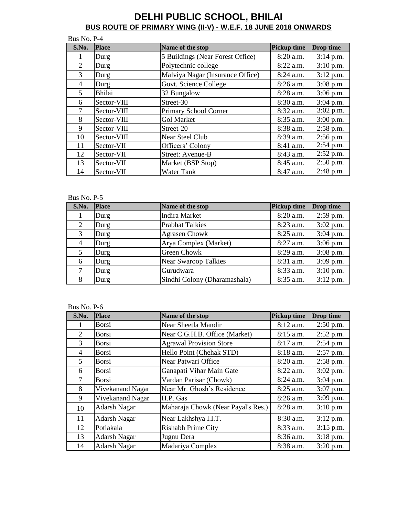| Bus No. P-4    |              |                                  |                    |             |
|----------------|--------------|----------------------------------|--------------------|-------------|
| S.No.          | <b>Place</b> | Name of the stop                 | <b>Pickup time</b> | Drop time   |
|                | Durg         | 5 Buildings (Near Forest Office) | 8:20 a.m.          | $3:14$ p.m. |
| 2              | Durg         | Polytechnic college              | 8:22 a.m.          | $3:10$ p.m. |
| 3              | Durg         | Malviya Nagar (Insurance Office) | 8:24 a.m.          | 3:12 p.m.   |
| $\overline{4}$ | Durg         | Govt. Science College            | $8:26$ a.m.        | $3:08$ p.m. |
| 5              | Bhilai       | 32 Bungalow                      | $8:28$ a.m.        | $3:06$ p.m. |
| 6              | Sector-VIII  | Street-30                        | 8:30 a.m.          | $3:04$ p.m. |
| $\tau$         | Sector-VIII  | Primary School Corner            | 8:32 a.m.          | $3:02$ p.m. |
| 8              | Sector-VIII  | <b>Gol Market</b>                | 8:35 a.m.          | $3:00$ p.m. |
| 9              | Sector-VIII  | Street-20                        | 8:38 a.m.          | $2:58$ p.m. |
| 10             | Sector-VIII  | <b>Near Steel Club</b>           | 8:39 a.m.          | $2:56$ p.m. |
| 11             | Sector-VII   | Officers' Colony                 | 8:41 a.m.          | $2:54$ p.m. |
| 12             | Sector-VII   | Street: Avenue-B                 | 8:43 a.m.          | $2:52$ p.m. |
| 13             | Sector-VII   | Market (BSP Stop)                | 8:45 a.m.          | $2:50$ p.m. |
| 14             | Sector-VII   | <b>Water Tank</b>                | 8:47 a.m.          | 2:48 p.m.   |

#### Bus No. P-5

| S.No.          | <b>Place</b> | Name of the stop             | <b>Pickup time</b> | Drop time   |
|----------------|--------------|------------------------------|--------------------|-------------|
|                | Durg         | <b>Indira Market</b>         | 8:20 a.m.          | $2:59$ p.m. |
| $\overline{2}$ | Durg         | <b>Prabhat Talkies</b>       | 8:23 a.m.          | $3:02$ p.m. |
| 3              | Durg         | <b>Agrasen Chowk</b>         | $8:25$ a.m.        | $3:04$ p.m. |
| $\overline{4}$ | Durg         | Arya Complex (Market)        | $8:27$ a.m.        | $3:06$ p.m. |
| 5              | Durg         | <b>Green Chowk</b>           | 8:29 a.m.          | $3:08$ p.m. |
| 6              | Durg         | <b>Near Swaroop Talkies</b>  | 8:31 a.m.          | $3:09$ p.m. |
| 7              | Durg         | Gurudwara                    | 8:33 a.m.          | $3:10$ p.m. |
| 8              | Durg         | Sindhi Colony (Dharamashala) | 8:35 a.m.          | $3:12$ p.m. |

| S.No.         | <b>Place</b>        | Name of the stop                   | <b>Pickup time</b> | <b>Drop time</b> |
|---------------|---------------------|------------------------------------|--------------------|------------------|
|               | <b>Borsi</b>        | Near Sheetla Mandir                | 8:12 a.m.          | $2:50$ p.m.      |
| 2             | <b>Borsi</b>        | Near C.G.H.B. Office (Market)      | 8:15 a.m.          | 2:52 p.m.        |
| $\mathcal{R}$ | <b>Borsi</b>        | <b>Agrawal Provision Store</b>     | 8:17 a.m.          | 2:54 p.m.        |
| 4             | <b>Borsi</b>        | Hello Point (Chehak STD)           | $8:18$ a.m.        | $2:57$ p.m.      |
| 5             | <b>Borsi</b>        | Near Patwari Office                | $8:20$ a.m.        | 2:58 p.m.        |
| 6             | <b>Borsi</b>        | Ganapati Vihar Main Gate           | $8:22$ a.m.        | $3:02$ p.m.      |
| 7             | <b>Borsi</b>        | Vardan Parisar (Chowk)             | 8:24 a.m.          | 3:04 p.m.        |
| 8             | Vivekanand Nagar    | Near Mr. Ghosh's Residence         | $8:25$ a.m.        | $3:07$ p.m.      |
| 9             | Vivekanand Nagar    | H.P. Gas                           | 8:26 a.m.          | 3:09 p.m.        |
| 10            | <b>Adarsh Nagar</b> | Maharaja Chowk (Near Payal's Res.) | $8:28$ a.m.        | $3:10$ p.m.      |
| 11            | <b>Adarsh Nagar</b> | Near Lakhshya I.I.T.               | 8:30 a.m.          | $3:12$ p.m.      |
| 12            | Potiakala           | <b>Rishabh Prime City</b>          | 8:33 a.m.          | $3:15$ p.m.      |
| 13            | <b>Adarsh Nagar</b> | Jugnu Dera                         | 8:36 a.m.          | $3:18$ p.m.      |
| 14            | <b>Adarsh Nagar</b> | Madariya Complex                   | 8:38 a.m.          | $3:20$ p.m.      |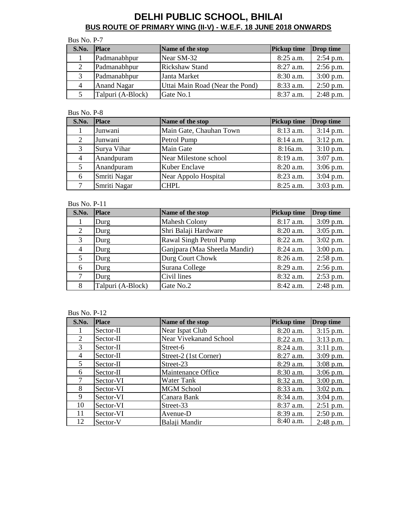| Bus No. P-7 |                    |                                 |                    |             |  |
|-------------|--------------------|---------------------------------|--------------------|-------------|--|
| S.No.       | <b>Place</b>       | Name of the stop                | <b>Pickup time</b> | Drop time   |  |
|             | Padmanabhpur       | Near SM-32                      | 8:25 a.m.          | $2:54$ p.m. |  |
|             | Padmanabhpur       | <b>Rickshaw Stand</b>           | $8:27$ a.m.        | $2:56$ p.m. |  |
|             | Padmanabhpur       | Janta Market                    | $8:30$ a.m.        | $3:00$ p.m. |  |
| 4           | <b>Anand Nagar</b> | Uttai Main Road (Near the Pond) | 8:33 a.m.          | $2:50$ p.m. |  |
|             | Talpuri (A-Block)  | Gate No.1                       | $8:37$ a.m.        | $2:48$ p.m. |  |

#### Bus No. P-8

| S.No. | <b>Place</b> | Name of the stop        | <b>Pickup time</b> | Drop time   |
|-------|--------------|-------------------------|--------------------|-------------|
|       | Junwani      | Main Gate, Chauhan Town | $8:13$ a.m.        | $3:14$ p.m. |
| 2     | Junwani      | Petrol Pump             | $8:14$ a.m.        | $3:12$ p.m. |
| 3     | Surya Vihar  | Main Gate               | 8:16a.m.           | $3:10$ p.m. |
| 4     | Anandpuram   | Near Milestone school   | $8:19$ a.m.        | $3:07$ p.m. |
| 5     | Anandpuram   | Kuber Enclave           | 8:20 a.m.          | $3:06$ p.m. |
| 6     | Smriti Nagar | Near Appolo Hospital    | $8:23$ a.m.        | $3:04$ p.m. |
|       | Smriti Nagar | <b>CHPL</b>             | $8:25$ a.m.        | $3:03$ p.m. |

Bus No. P-11

| S.No.          | <b>Place</b>      | Name of the stop              | <b>Pickup time</b> | Drop time   |
|----------------|-------------------|-------------------------------|--------------------|-------------|
|                | Durg              | <b>Mahesh Colony</b>          | $8:17$ a.m.        | $3:09$ p.m. |
| 2              | Durg              | Shri Balaji Hardware          | 8:20 a.m.          | $3:05$ p.m. |
| 3              | Durg              | Rawal Singh Petrol Pump       | $8:22$ a.m.        | $3:02$ p.m. |
| $\overline{4}$ | Durg              | Ganjpara (Maa Sheetla Mandir) | $8:24$ a.m.        | $3:00$ p.m. |
| 5              | Durg              | Durg Court Chowk              | 8:26 a.m.          | 2:58 p.m.   |
| 6              | Durg              | Surana College                | 8:29 a.m.          | $2:56$ p.m. |
| 7              | Durg              | Civil lines                   | 8:32 a.m.          | 2:53 p.m.   |
| 8              | Talpuri (A-Block) | Gate No.2                     | 8:42 a.m.          | $2:48$ p.m. |

| S.No.          | <b>Place</b> | Name of the stop              | <b>Pickup time</b> | Drop time   |
|----------------|--------------|-------------------------------|--------------------|-------------|
|                | Sector-II    | Near Ispat Club               | 8:20 a.m.          | $3:15$ p.m. |
| $\overline{2}$ | Sector-II    | <b>Near Vivekanand School</b> | $8:22$ a.m.        | $3:13$ p.m. |
| 3 <sup>1</sup> | Sector-II    | Street-6                      | 8:24 a.m.          | $3:11$ p.m. |
| 4              | Sector-II    | Street-2 (1st Corner)         | $8:27$ a.m.        | $3:09$ p.m. |
| 5              | Sector-II    | Street-23                     | 8:29 a.m.          | $3:08$ p.m. |
| 6              | Sector-II    | Maintenance Office            | 8:30 a.m.          | $3:06$ p.m. |
| 7              | Sector-VI    | Water Tank                    | 8:32 a.m.          | $3:00$ p.m. |
| 8              | Sector-VI    | <b>MGM School</b>             | $8:33$ a.m.        | $3:02$ p.m. |
| 9              | Sector-VI    | Canara Bank                   | $8:34$ a.m.        | $3:04$ p.m. |
| 10             | Sector-VI    | Street-33                     | $8:37$ a.m.        | $2:51$ p.m. |
| 11             | Sector-VI    | Avenue-D                      | 8:39 a.m.          | $2:50$ p.m. |
| 12             | Sector-V     | Balaji Mandir                 | 8:40 a.m.          | $2:48$ p.m. |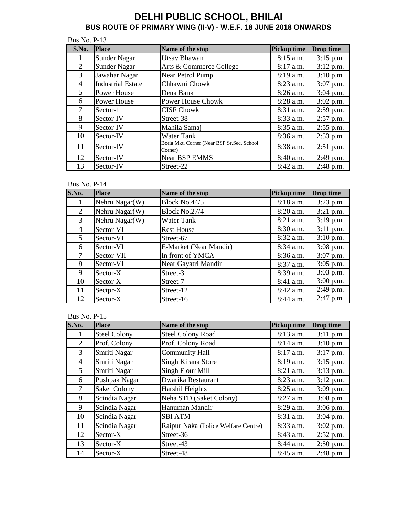| <b>Bus No. P-13</b> |                          |                                                       |                    |             |
|---------------------|--------------------------|-------------------------------------------------------|--------------------|-------------|
| S.No.               | <b>Place</b>             | Name of the stop                                      | <b>Pickup time</b> | Drop time   |
|                     | <b>Sunder Nagar</b>      | <b>Utsav Bhawan</b>                                   | $8:15$ a.m.        | $3:15$ p.m. |
| 2                   | <b>Sunder Nagar</b>      | Arts & Commerce College                               | 8:17 a.m.          | $3:12$ p.m. |
| 3                   | Jawahar Nagar            | Near Petrol Pump                                      | 8:19 a.m.          | $3:10$ p.m. |
| 4                   | <b>Industrial Estate</b> | Chhawni Chowk                                         | 8:23 a.m.          | 3:07 p.m.   |
| 5                   | <b>Power House</b>       | Dena Bank                                             | $8:26$ a.m.        | $3:04$ p.m. |
| 6                   | <b>Power House</b>       | <b>Power House Chowk</b>                              | 8:28 a.m.          | $3:02$ p.m. |
| $\tau$              | Sector-1                 | <b>CISF Chowk</b>                                     | $8:31$ a.m.        | $2:59$ p.m. |
| 8                   | Sector-IV                | Street-38                                             | 8:33 a.m.          | $2:57$ p.m. |
| 9                   | Sector-IV                | Mahila Samaj                                          | $8:35$ a.m.        | $2:55$ p.m. |
| 10                  | Sector-IV                | <b>Water Tank</b>                                     | 8:36 a.m.          | 2:53 p.m.   |
| 11                  | Sector-IV                | Boria Mkt. Corner (Near BSP Sr.Sec. School<br>Corner) | $8:38$ a.m.        | $2:51$ p.m. |
| 12                  | Sector-IV                | <b>Near BSP EMMS</b>                                  | 8:40 a.m.          | 2:49 p.m.   |
| 13                  | Sector-IV                | Street-22                                             | $8:42$ a.m.        | 2:48 p.m.   |

### Bus No. P-14

| S.No.          | <b>Place</b>   | Name of the stop       | <b>Pickup time</b> | <b>Drop time</b> |
|----------------|----------------|------------------------|--------------------|------------------|
| 1              | Nehru Nagar(W) | Block No.44/5          | 8:18 a.m.          | $3:23$ p.m.      |
| $\overline{2}$ | Nehru Nagar(W) | Block No.27/4          | 8:20 a.m.          | $3:21$ p.m.      |
| 3              | Nehru Nagar(W) | <b>Water Tank</b>      | 8:21 a.m.          | $3:19$ p.m.      |
| 4              | Sector-VI      | <b>Rest House</b>      | $8:30$ a.m.        | $3:11$ p.m.      |
| 5              | Sector-VI      | Street-67              | 8:32 a.m.          | $3:10$ p.m.      |
| 6              | Sector-VI      | E-Market (Near Mandir) | 8:34 a.m.          | $3:08$ p.m.      |
| 7              | Sector-VII     | In front of YMCA       | 8:36 a.m.          | $3:07$ p.m.      |
| 8              | Sector-VI      | Near Gayatri Mandir    | $8:37$ a.m.        | $3:05$ p.m.      |
| 9              | Sector-X       | Street-3               | 8:39 a.m.          | 3:03 p.m.        |
| 10             | Sector-X       | Street-7               | $8:41$ a.m.        | $3:00$ p.m.      |
| 11             | Sectpr-X       | Street-12              | 8:42 a.m.          | 2:49 p.m.        |
| 12             | Sector-X       | Street-16              | 8:44 a.m.          | 2:47 p.m.        |

| S.No.          | <b>Place</b>        | Name of the stop                    | <b>Pickup time</b> | Drop time   |
|----------------|---------------------|-------------------------------------|--------------------|-------------|
|                | <b>Steel Colony</b> | <b>Steel Colony Road</b>            | $8:13$ a.m.        | $3:11$ p.m. |
| $\overline{2}$ | Prof. Colony        | Prof. Colony Road                   | 8:14 a.m.          | $3:10$ p.m. |
| 3              | Smriti Nagar        | <b>Community Hall</b>               | 8:17 a.m.          | $3:17$ p.m. |
| $\overline{4}$ | Smriti Nagar        | Singh Kirana Store                  | 8:19 a.m.          | $3:15$ p.m. |
| 5              | Smriti Nagar        | Singh Flour Mill                    | 8:21 a.m.          | $3:13$ p.m. |
| 6              | Pushpak Nagar       | Dwarika Restaurant                  | 8:23 a.m.          | $3:12$ p.m. |
| 7              | <b>Saket Colony</b> | Harshil Heights                     | $8:25$ a.m.        | $3:09$ p.m. |
| 8              | Scindia Nagar       | Neha STD (Saket Colony)             | 8:27 a.m.          | $3:08$ p.m. |
| 9              | Scindia Nagar       | Hanuman Mandir                      | 8:29 a.m.          | $3:06$ p.m. |
| 10             | Scindia Nagar       | <b>SBI ATM</b>                      | 8:31 a.m.          | $3:04$ p.m. |
| 11             | Scindia Nagar       | Raipur Naka (Police Welfare Centre) | 8:33 a.m.          | $3:02$ p.m. |
| 12             | Sector-X            | Street-36                           | 8:43 a.m.          | $2:52$ p.m. |
| 13             | Sector-X            | Street-43                           | 8:44 a.m.          | $2:50$ p.m. |
| 14             | Sector-X            | Street-48                           | 8:45 a.m.          | 2:48 p.m.   |